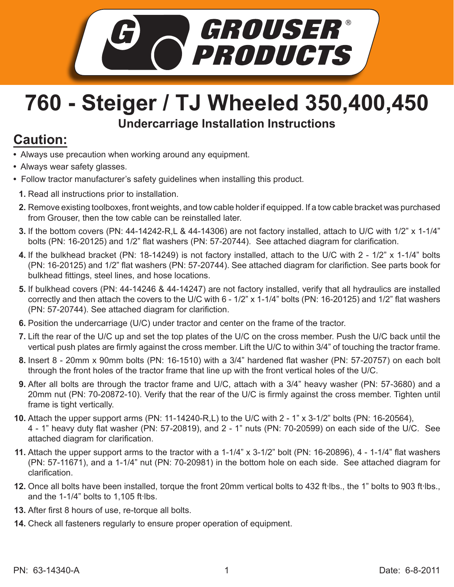

## **760 - Steiger / TJ Wheeled 350,400,450 Undercarriage Installation Instructions**

## **Caution:**

- Always use precaution when working around any equipment.
- Always wear safety glasses.
- Follow tractor manufacturer's safety guidelines when installing this product.
	- **1.** Read all instructions prior to installation.
	- **2.** Remove existing toolboxes, front weights, and tow cable holder if equipped. If a tow cable bracket was purchased from Grouser, then the tow cable can be reinstalled later.
	- If the bottom covers (PN: 44-14242-R,L & 44-14306) are not factory installed, attach to U/C with 1/2" x 1-1/4" **3.** bolts (PN: 16-20125) and 1/2" flat washers (PN: 57-20744). See attached diagram for clarification.
	- If the bulkhead bracket (PN: 18-14249) is not factory installed, attach to the U/C with 2 1/2" x 1-1/4" bolts **4.** (PN: 16-20125) and 1/2" flat washers (PN: 57-20744). See attached diagram for clarifiction. See parts book for bulkhead fittings, steel lines, and hose locations.
	- **5.** If bulkhead covers (PN: 44-14246 & 44-14247) are not factory installed, verify that all hydraulics are installed correctly and then attach the covers to the U/C with 6 - 1/2" x 1-1/4" bolts (PN: 16-20125) and 1/2" flat washers (PN: 57-20744). See attached diagram for clarifiction.
	- **6.** Position the undercarriage (U/C) under tractor and center on the frame of the tractor.
	- 7. Lift the rear of the U/C up and set the top plates of the U/C on the cross member. Push the U/C back until the vertical push plates are firmly against the cross member. Lift the U/C to within 3/4" of touching the tractor frame.
	- Insert 8 20mm x 90mm bolts (PN: 16-1510) with a 3/4" hardened flat washer (PN: 57-20757) on each bolt **8.** through the front holes of the tractor frame that line up with the front vertical holes of the U/C.
	- **9.** After all bolts are through the tractor frame and U/C, attach with a 3/4" heavy washer (PN: 57-3680) and a 20mm nut (PN: 70-20872-10). Verify that the rear of the U/C is firmly against the cross member. Tighten until frame is tight vertically.
- Attach the upper support arms (PN: 11-14240-R,L) to the U/C with 2 1" x 3-1/2" bolts (PN: 16-20564), **10.** 4 - 1" heavy duty flat washer (PN: 57-20819), and 2 - 1" nuts (PN: 70-20599) on each side of the U/C. See attached diagram for clarification.
- Attach the upper support arms to the tractor with a 1-1/4" x 3-1/2" bolt (PN: 16-20896), 4 1-1/4" flat washers **11.** (PN: 57-11671), and a 1-1/4" nut (PN: 70-20981) in the bottom hole on each side. See attached diagram for clarification.
- 12. Once all bolts have been installed, torque the front 20mm vertical bolts to 432 ft·lbs., the 1" bolts to 903 ft·lbs., and the  $1-1/4$ " bolts to  $1,105$  ft lbs.
- After first 8 hours of use, re-torque all bolts. **13.**
- Check all fasteners regularly to ensure proper operation of equipment. **14.**